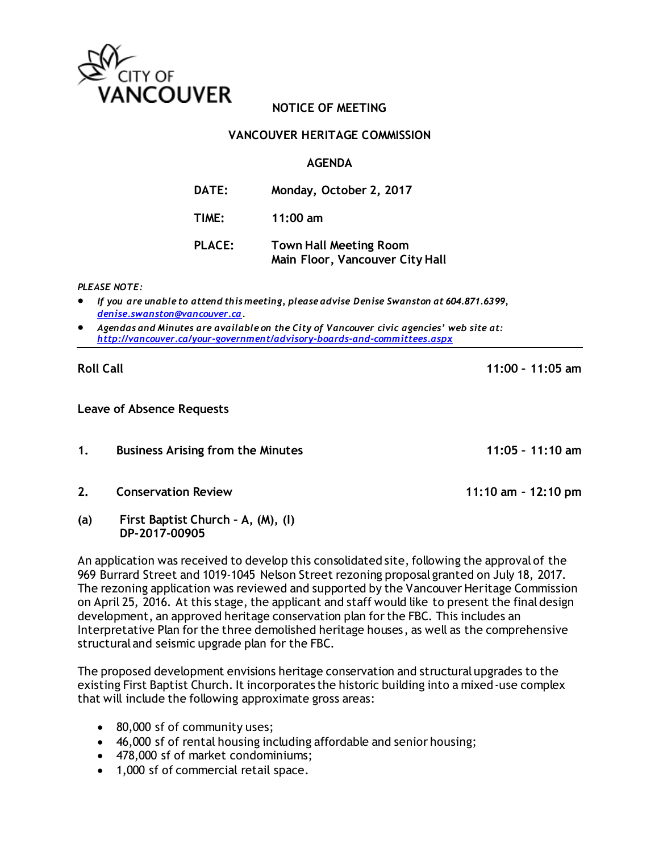

## **NOTICE OF MEETING**

## **VANCOUVER HERITAGE COMMISSION**

## **AGENDA**

| <b>DATE:</b>  | Monday, October 2, 2017                                          |
|---------------|------------------------------------------------------------------|
| TIME:         | $11:00$ am                                                       |
| <b>PLACE:</b> | <b>Town Hall Meeting Room</b><br>Main Floor, Vancouver City Hall |

#### *PLEASE NOTE:*

- *If you are unable to attend this meeting, please advise Denise Swanston at 604.871.6399, [denise.swanston@vancouver.ca.](mailto:denise.swanston@vancouver.ca)*
- *Agendas and Minutes are available on the City of Vancouver civic agencies' web site at: <http://vancouver.ca/your-government/advisory-boards-and-committees.aspx>*

## **Roll Call 11:00 – 11:05 am**

### **Leave of Absence Requests**

- **1. Business Arising from the Minutes 11:05 – 11:10 am**
- **2. Conservation Review 11:10 am – 12:10 pm**
- **(a) First Baptist Church – A, (M), (I) DP-2017-00905**

An application was received to develop this consolidated site, following the approval of the 969 Burrard Street and 1019-1045 Nelson Street rezoning proposal granted on July 18, 2017. The rezoning application was reviewed and supported by the Vancouver Heritage Commission on April 25, 2016. At this stage, the applicant and staff would like to present the final design development, an approved heritage conservation plan for the FBC. This includes an Interpretative Plan for the three demolished heritage houses, as well as the comprehensive structural and seismic upgrade plan for the FBC.

The proposed development envisions heritage conservation and structural upgrades to the existing First Baptist Church. It incorporates the historic building into a mixed-use complex that will include the following approximate gross areas:

- 80,000 sf of community uses;
- 46,000 sf of rental housing including affordable and senior housing;
- 478,000 sf of market condominiums;
- 1,000 sf of commercial retail space.